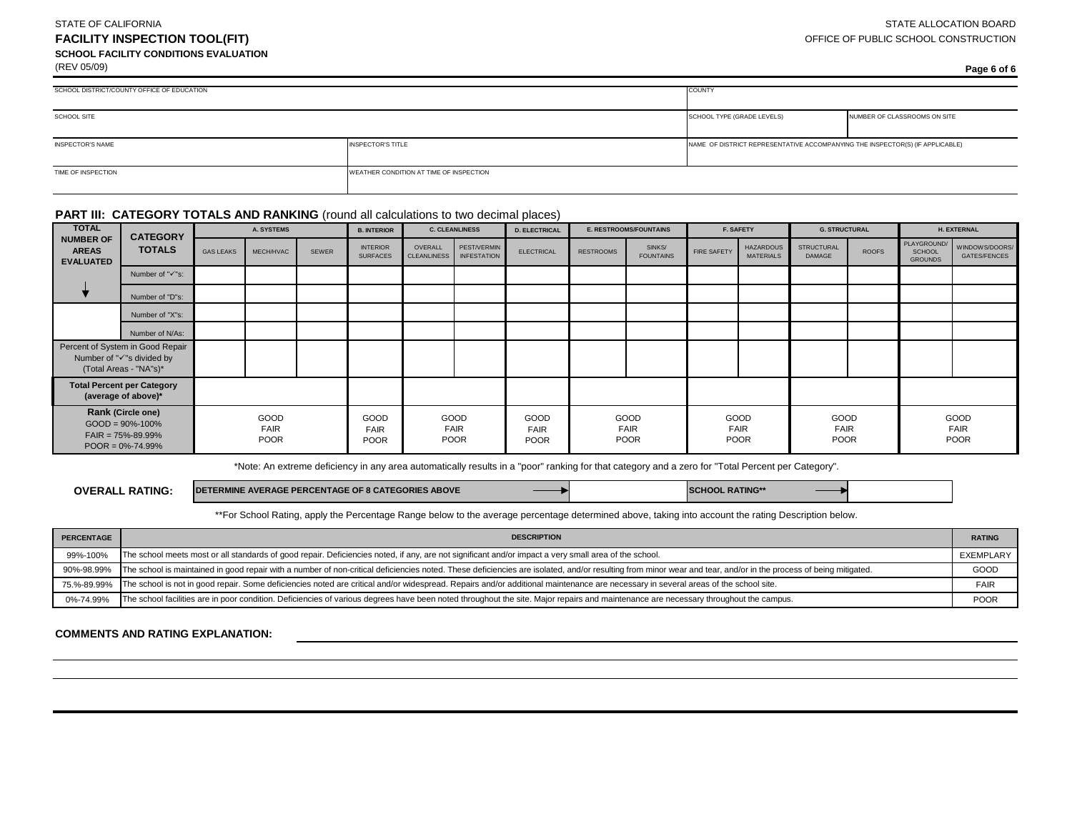#### STATE OF CALIFORNIA

# **SCHOOL FACILITY CONDITIONS EVALUATION**

#### **Page 6 of 6**

| SCHOOL DISTRICT/COUNTY OFFICE OF EDUCATION | <b>COUNTY</b>                           |                                                                               |  |  |
|--------------------------------------------|-----------------------------------------|-------------------------------------------------------------------------------|--|--|
| <b>SCHOOL SITE</b>                         | SCHOOL TYPE (GRADE LEVELS)              | NUMBER OF CLASSROOMS ON SITE                                                  |  |  |
| <b>INSPECTOR'S NAME</b>                    | <b>INSPECTOR'S TITLE</b>                | NAME OF DISTRICT REPRESENTATIVE ACCOMPANYING THE INSPECTOR(S) (IF APPLICABLE) |  |  |
| TIME OF INSPECTION                         | WEATHER CONDITION AT TIME OF INSPECTION |                                                                               |  |  |

# **PART III: CATEGORY TOTALS AND RANKING** (round all calculations to two decimal places)

| <b>TOTAL</b>                                         | <b>CATEGORY</b>                                                                                 | A. SYSTEMS       |                                    | <b>B. INTERIOR</b> | <b>C. CLEANLINESS</b>              |         | <b>D. ELECTRICAL</b>                   | <b>E. RESTROOMS/FOUNTAINS</b>      |                  | <b>F. SAFETY</b>                   |             | <b>G. STRUCTURAL</b>                 |                                    | H. EXTERNAL  |                                         |                                       |
|------------------------------------------------------|-------------------------------------------------------------------------------------------------|------------------|------------------------------------|--------------------|------------------------------------|---------|----------------------------------------|------------------------------------|------------------|------------------------------------|-------------|--------------------------------------|------------------------------------|--------------|-----------------------------------------|---------------------------------------|
| <b>NUMBER OF</b><br><b>AREAS</b><br><b>EVALUATED</b> | <b>TOTALS</b>                                                                                   | <b>GAS LEAKS</b> | MECH/HVAC                          | <b>SEWER</b>       | <b>INTERIOR</b><br><b>SURFACES</b> | OVERALL | PEST/VERMIN<br>CLEANLINESS INFESTATION | <b>ELECTRICAL</b>                  | <b>RESTROOMS</b> | SINKS/<br><b>FOUNTAINS</b>         | FIRE SAFETY | <b>HAZARDOUS</b><br><b>MATERIALS</b> | <b>STRUCTURAL</b><br><b>DAMAGE</b> | <b>ROOFS</b> | PLAYGROUND/<br>SCHOOL<br><b>GROUNDS</b> | WINDOWS/DOORS/<br><b>GATES/FENCES</b> |
|                                                      | Number of "√"s:                                                                                 |                  |                                    |                    |                                    |         |                                        |                                    |                  |                                    |             |                                      |                                    |              |                                         |                                       |
|                                                      | Number of "D"s:                                                                                 |                  |                                    |                    |                                    |         |                                        |                                    |                  |                                    |             |                                      |                                    |              |                                         |                                       |
|                                                      | Number of "X"s:                                                                                 |                  |                                    |                    |                                    |         |                                        |                                    |                  |                                    |             |                                      |                                    |              |                                         |                                       |
|                                                      | Number of N/As:                                                                                 |                  |                                    |                    |                                    |         |                                        |                                    |                  |                                    |             |                                      |                                    |              |                                         |                                       |
|                                                      | Percent of System in Good Repair<br>Number of "√"s divided by<br>(Total Areas - "NA"s)*         |                  |                                    |                    |                                    |         |                                        |                                    |                  |                                    |             |                                      |                                    |              |                                         |                                       |
|                                                      | <b>Total Percent per Category</b><br>(average of above)*                                        |                  |                                    |                    |                                    |         |                                        |                                    |                  |                                    |             |                                      |                                    |              |                                         |                                       |
|                                                      | Rank (Circle one)<br>$GOOD = 90\% - 100\%$<br>$FAIR = 75\% - 89.99\%$<br>$POOR = 0\% - 74.99\%$ |                  | GOOD<br><b>FAIR</b><br><b>POOR</b> |                    | GOOD<br><b>FAIR</b><br><b>POOR</b> |         | GOOD<br><b>FAIR</b><br><b>POOR</b>     | GOOD<br><b>FAIR</b><br><b>POOR</b> |                  | GOOD<br><b>FAIR</b><br><b>POOR</b> |             | GOOD<br><b>FAIR</b><br><b>POOR</b>   | GOOD<br><b>FAIR</b><br><b>POOR</b> |              |                                         | GOOD<br><b>FAIR</b><br><b>POOR</b>    |

\*Note: An extreme deficiency in any area automatically results in a "poor" ranking for that category and a zero for "Total Percent per Category".

**OVERALL RATING:**

**DETERMINE AVERAGE PERCENTAGE OF 8 CATEGORIES ABOVE <b>SCHOOL ASSESS** SCHOOL RATING\*\*

\*\*For School Rating, apply the Percentage Range below to the average percentage determined above, taking into account the rating Description below.

| <b>PERCENTAGE</b> | <b>DESCRIPTION</b>                                                                                                                                                                                              | <b>RATING</b> |
|-------------------|-----------------------------------------------------------------------------------------------------------------------------------------------------------------------------------------------------------------|---------------|
| 99%-100%          | The school meets most or all standards of good repair. Deficiencies noted, if any, are not significant and/or impact a very small area of the school.                                                           | EXEMPLARY     |
| 90%-98.99%        | The school is maintained in good repair with a number of non-critical deficiencies noted. These deficiencies are isolated, and/or resulting from minor wear and tear, and/or in the process of being mitigated. | GOOD          |
| 75.%-89.99%       | The school is not in good repair. Some deficiencies noted are critical and/or widespread. Repairs and/or additional maintenance are necessary in several areas of the school site.                              | <b>FAIR</b>   |
| 0%-74.99%         | The school facilities are in poor condition. Deficiencies of various degrees have been noted throughout the site. Major repairs and maintenance are necessary throughout the campus.                            | <b>POOR</b>   |

#### **COMMENTS AND RATING EXPLANATION:**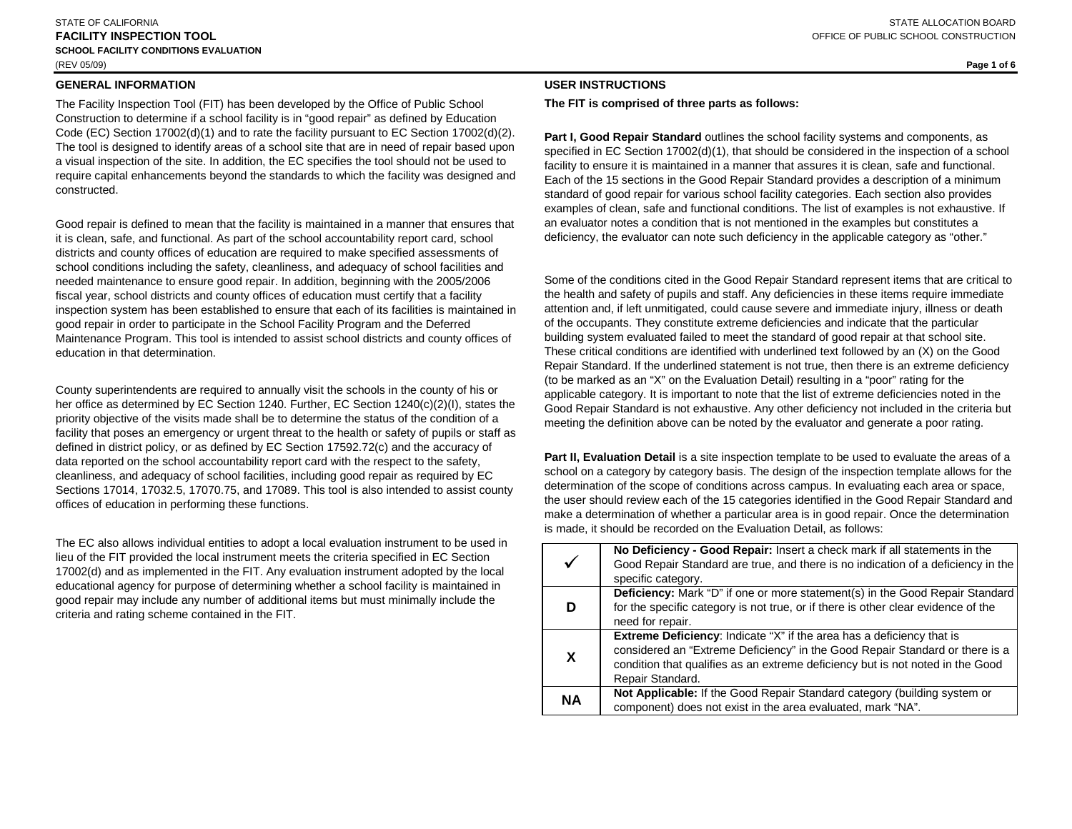## (REV 05/09) STATE OF CALIFORNIA **FACILITY INSPECTION TOOL SCHOOL FACILITY CONDITIONS EVALUATION**

## **GENERAL INFORMATION**

The Facility Inspection Tool (FIT) has been developed by the Office of Public School **The FIT is comprised of three parts as follows:** Construction to determine if a school facility is in "good repair" as defined by Education Code (EC) Section  $17002(d)(1)$  and to rate the facility pursuant to EC Section  $17002(d)(2)$ . The tool is designed to identify areas of a school site that are in need of repair based upon a visual inspection of the site. In addition, the EC specifies the tool should not be used to require capital enhancements beyond the standards to which the facility was designed and constructed.

Good repair is defined to mean that the facility is maintained in a manner that ensures that it is clean, safe, and functional. As part of the school accountability report card, school districts and county offices of education are required to make specified assessments of school conditions including the safety, cleanliness, and adequacy of school facilities and needed maintenance to ensure good repair. In addition, beginning with the 2005/2006 fiscal year, school districts and county offices of education must certify that a facility inspection system has been established to ensure that each of its facilities is maintained in good repair in order to participate in the School Facility Program and the Deferred Maintenance Program. This tool is intended to assist school districts and county offices of education in that determination.

County superintendents are required to annually visit the schools in the county of his or her office as determined by EC Section 1240. Further, EC Section 1240(c)(2)(I), states the priority objective of the visits made shall be to determine the status of the condition of a facility that poses an emergency or urgent threat to the health or safety of pupils or staff as defined in district policy, or as defined by EC Section 17592.72(c) and the accuracy of data reported on the school accountability report card with the respect to the safety, cleanliness, and adequacy of school facilities, including good repair as required by EC Sections 17014, 17032.5, 17070.75, and 17089. This tool is also intended to assist county offices of education in performing these functions.

The EC also allows individual entities to adopt a local evaluation instrument to be used in lieu of the FIT provided the local instrument meets the criteria specified in EC Section 17002(d) and as implemented in the FIT. Any evaluation instrument adopted by the local educational agency for purpose of determining whether a school facility is maintained in good repair may include any number of additional items but must minimally include the criteria and rating scheme contained in the FIT.

#### **USER INSTRUCTIONS**

**Part I, Good Repair Standard** outlines the school facility systems and components, as specified in EC Section 17002(d)(1), that should be considered in the inspection of a school facility to ensure it is maintained in a manner that assures it is clean, safe and functional. Each of the 15 sections in the Good Repair Standard provides a description of a minimum standard of good repair for various school facility categories. Each section also provides examples of clean, safe and functional conditions. The list of examples is not exhaustive. If an evaluator notes a condition that is not mentioned in the examples but constitutes a deficiency, the evaluator can note such deficiency in the applicable category as "other."

Some of the conditions cited in the Good Repair Standard represent items that are critical to the health and safety of pupils and staff. Any deficiencies in these items require immediate attention and, if left unmitigated, could cause severe and immediate injury, illness or death of the occupants. They constitute extreme deficiencies and indicate that the particular building system evaluated failed to meet the standard of good repair at that school site. These critical conditions are identified with underlined text followed by an (X) on the Good Repair Standard. If the underlined statement is not true, then there is an extreme deficiency (to be marked as an "X" on the Evaluation Detail) resulting in a "poor" rating for the applicable category. It is important to note that the list of extreme deficiencies noted in the Good Repair Standard is not exhaustive. Any other deficiency not included in the criteria but meeting the definition above can be noted by the evaluator and generate a poor rating.

**Part II, Evaluation Detail** is a site inspection template to be used to evaluate the areas of a school on a category by category basis. The design of the inspection template allows for the determination of the scope of conditions across campus. In evaluating each area or space, the user should review each of the 15 categories identified in the Good Repair Standard and make a determination of whether a particular area is in good repair. Once the determination is made, it should be recorded on the Evaluation Detail, as follows:

|           | No Deficiency - Good Repair: Insert a check mark if all statements in the           |
|-----------|-------------------------------------------------------------------------------------|
|           | Good Repair Standard are true, and there is no indication of a deficiency in the    |
|           | specific category.                                                                  |
| D         | <b>Deficiency:</b> Mark "D" if one or more statement(s) in the Good Repair Standard |
|           | for the specific category is not true, or if there is other clear evidence of the   |
|           | need for repair.                                                                    |
| X         | <b>Extreme Deficiency:</b> Indicate "X" if the area has a deficiency that is        |
|           | considered an "Extreme Deficiency" in the Good Repair Standard or there is a        |
|           | condition that qualifies as an extreme deficiency but is not noted in the Good      |
|           | Repair Standard.                                                                    |
| <b>NA</b> | Not Applicable: If the Good Repair Standard category (building system or            |
|           | component) does not exist in the area evaluated, mark "NA".                         |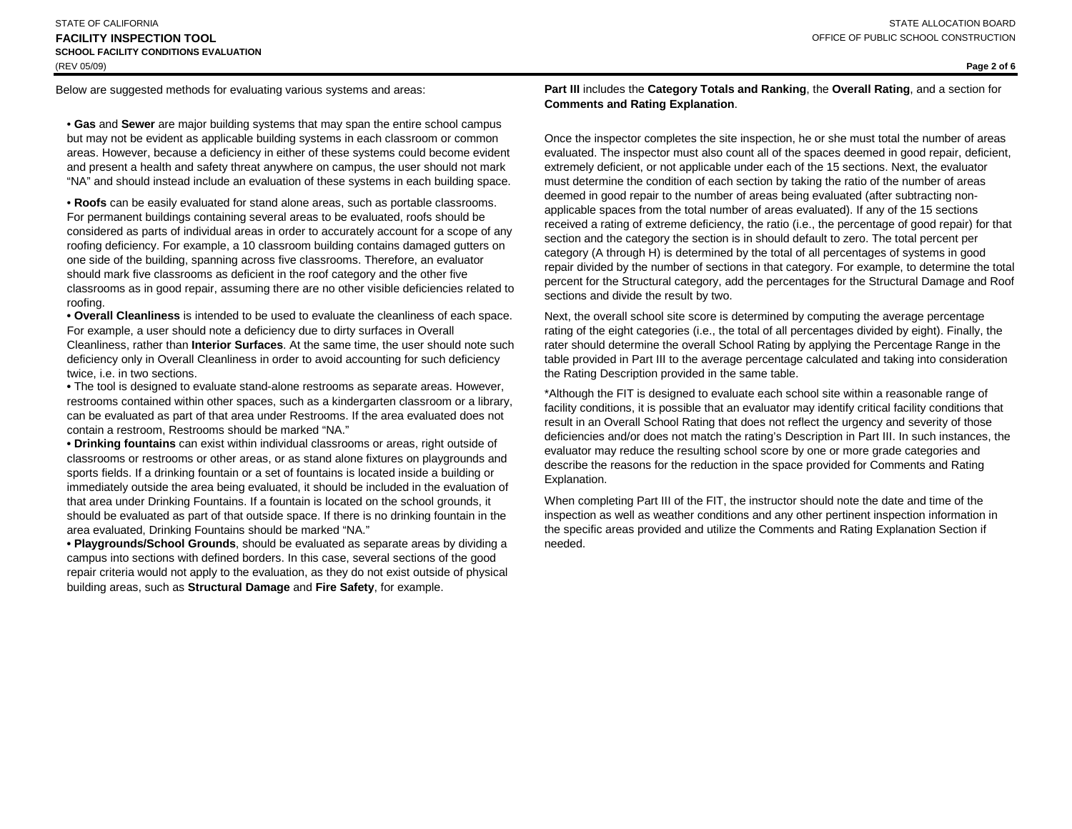**Page 2 of 6**

Below are suggested methods for evaluating various systems and areas:

• **Gas** and **Sewer** are major building systems that may span the entire school campus but may not be evident as applicable building systems in each classroom or common areas. However, because a deficiency in either of these systems could become evident and present a health and safety threat anywhere on campus, the user should not mark "NA" and should instead include an evaluation of these systems in each building space.

• **Roofs** can be easily evaluated for stand alone areas, such as portable classrooms. For permanent buildings containing several areas to be evaluated, roofs should be considered as parts of individual areas in order to accurately account for a scope of any roofing deficiency. For example, a 10 classroom building contains damaged gutters on one side of the building, spanning across five classrooms. Therefore, an evaluator should mark five classrooms as deficient in the roof category and the other five classrooms as in good repair, assuming there are no other visible deficiencies related to roofing.

**• Overall Cleanliness** is intended to be used to evaluate the cleanliness of each space. For example, a user should note a deficiency due to dirty surfaces in Overall Cleanliness, rather than **Interior Surfaces**. At the same time, the user should note such deficiency only in Overall Cleanliness in order to avoid accounting for such deficiency twice, i.e. in two sections.

**•** The tool is designed to evaluate stand-alone restrooms as separate areas. However, restrooms contained within other spaces, such as a kindergarten classroom or a library, can be evaluated as part of that area under Restrooms. If the area evaluated does not contain a restroom, Restrooms should be marked "NA."

**• Drinking fountains** can exist within individual classrooms or areas, right outside of classrooms or restrooms or other areas, or as stand alone fixtures on playgrounds and sports fields. If a drinking fountain or a set of fountains is located inside a building or immediately outside the area being evaluated, it should be included in the evaluation of that area under Drinking Fountains. If a fountain is located on the school grounds, it should be evaluated as part of that outside space. If there is no drinking fountain in the area evaluated, Drinking Fountains should be marked "NA."

**• Playgrounds/School Grounds**, should be evaluated as separate areas by dividing a campus into sections with defined borders. In this case, several sections of the good repair criteria would not apply to the evaluation, as they do not exist outside of physical building areas, such as **Structural Damage** and **Fire Safety**, for example.

**Part III** includes the **Category Totals and Ranking**, the **Overall Rating**, and a section for **Comments and Rating Explanation**.

Once the inspector completes the site inspection, he or she must total the number of areas evaluated. The inspector must also count all of the spaces deemed in good repair, deficient, extremely deficient, or not applicable under each of the 15 sections. Next, the evaluator must determine the condition of each section by taking the ratio of the number of areas deemed in good repair to the number of areas being evaluated (after subtracting nonapplicable spaces from the total number of areas evaluated). If any of the 15 sections received a rating of extreme deficiency, the ratio (i.e., the percentage of good repair) for that section and the category the section is in should default to zero. The total percent per category (A through H) is determined by the total of all percentages of systems in good repair divided by the number of sections in that category. For example, to determine the total percent for the Structural category, add the percentages for the Structural Damage and Roof sections and divide the result by two.

Next, the overall school site score is determined by computing the average percentage rating of the eight categories (i.e., the total of all percentages divided by eight). Finally, the rater should determine the overall School Rating by applying the Percentage Range in the table provided in Part III to the average percentage calculated and taking into consideration the Rating Description provided in the same table.

\*Although the FIT is designed to evaluate each school site within a reasonable range of facility conditions, it is possible that an evaluator may identify critical facility conditions that result in an Overall School Rating that does not reflect the urgency and severity of those deficiencies and/or does not match the rating's Description in Part III. In such instances, the evaluator may reduce the resulting school score by one or more grade categories and describe the reasons for the reduction in the space provided for Comments and Rating Explanation.

When completing Part III of the FIT, the instructor should note the date and time of the inspection as well as weather conditions and any other pertinent inspection information in the specific areas provided and utilize the Comments and Rating Explanation Section if needed.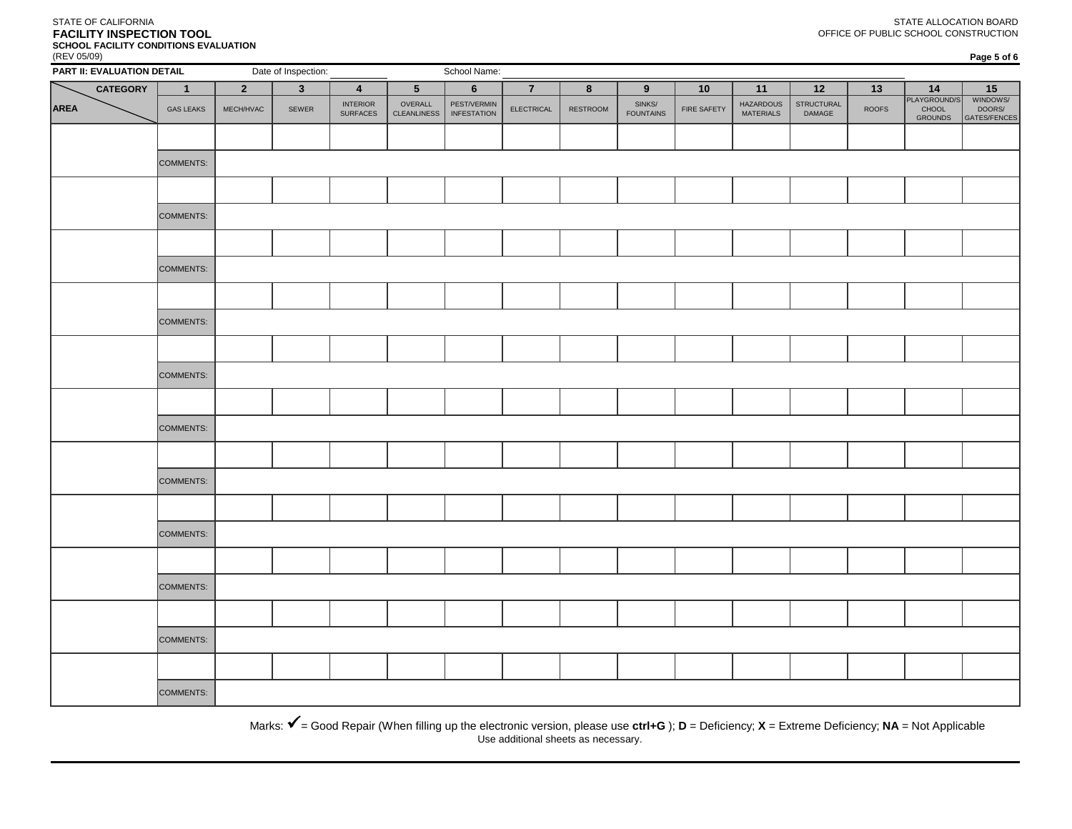**CATEGORY 1 2 3 4 5 6 7 8 9 10 11 12 13 14 15** COMMENTS: COMMENTS: COMMENTS: COMMENTS: COMMENTS: COMMENTS: COMMENTS: COMMENTS: COMMENTS: COMMENTS: COMMENTS: HAZARDOUS MATERIALS **STRUCTURAL** DAMAGE SINKS/ FOUNTAINS PEST/VERMIN INFESTATION WINDOWS/ DOORS/ **GATES/FENCES INTERIOR**<br>SURFACES MECH/HVAC SEWER INTERIOR OVERALL CLEANLINESS INFESTATION ELECTRICAL RESTROOM FOUNTAINS FIRE SAFETY MATERIALS DAMAGE ROOFS PLAYGROUND/S CHOOL GROUNDS AREA GAS LEAKS MECHIHVAC SEWER SUBFACES CLEAN INFESTRATION ELECTRICAL RESTROOM **PART II: EVALUATION DETAIL** Date of Inspection: School Name:

> Use additional sheets as necessary. Marks: = Good Repair (When filling up the electronic version, please use **ctrl+G** ); **D** = Deficiency; **X** = Extreme Deficiency; **NA** = Not Applicable

STATE ALLOCATION BOARD

OFFICE OF PUBLIC SCHOOL CONSTRUCTION

STATE OF CALIFORNIA<br>**FACILITY INSPECTION TOOL**  $(5/09)$ **SCHOOL FACILITY CONDITIONS EVALUATION**

| DEV.<br>-KE.<br>u | ი: |
|-------------------|----|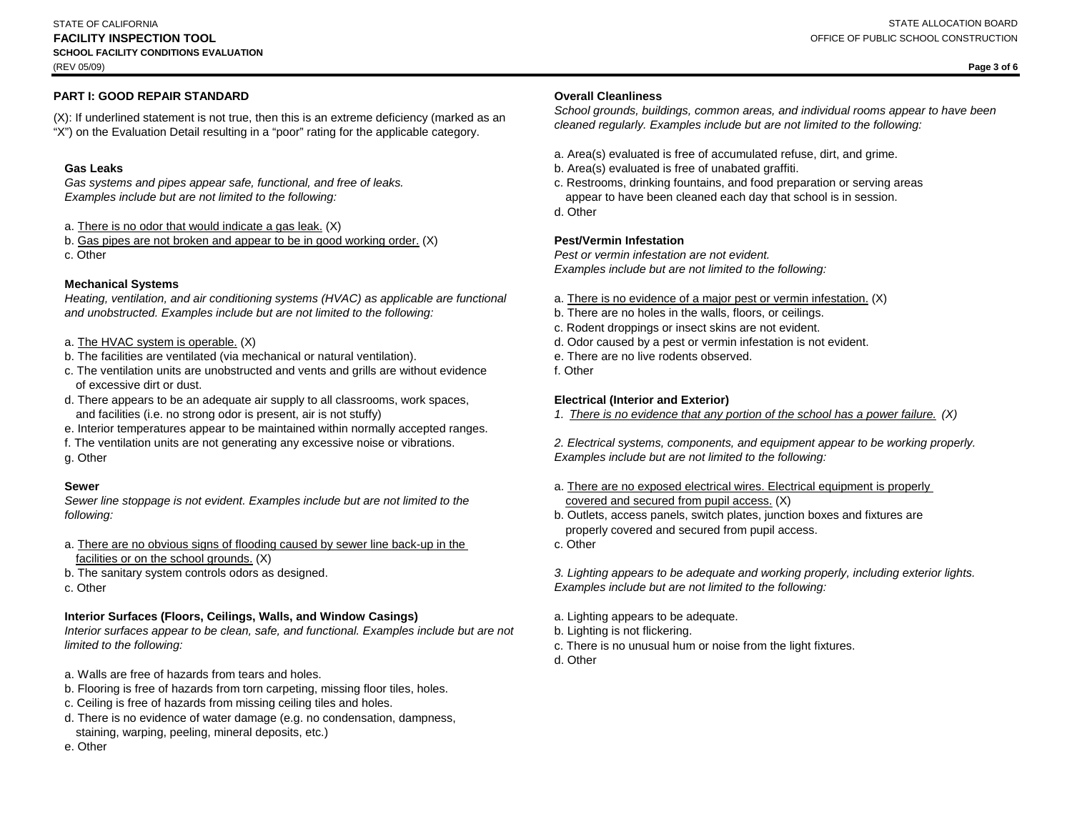#### **Page 3 of 6**

## **PART I: GOOD REPAIR STANDARD**

(X): If underlined statement is not true, then this is an extreme deficiency (marked as an "X") on the Evaluation Detail resulting in a "poor" rating for the applicable category.

#### **Gas Leaks**

*Gas systems and pipes appear safe, functional, and free of leaks. Examples include but are not limited to the following:*

a. There is no odor that would indicate a gas leak. (X)

b. Gas pipes are not broken and appear to be in good working order. (X)

c. Other

## **Mechanical Systems**

*Heating, ventilation, and air conditioning systems (HVAC) as applicable are functional and unobstructed. Examples include but are not limited to the following:*

- a. The HVAC system is operable. (X)
- b. The facilities are ventilated (via mechanical or natural ventilation).
- c. The ventilation units are unobstructed and vents and grills are without evidence of excessive dirt or dust.
- d. There appears to be an adequate air supply to all classrooms, work spaces, and facilities (i.e. no strong odor is present, air is not stuffy)
- e. Interior temperatures appear to be maintained within normally accepted ranges.
- f. The ventilation units are not generating any excessive noise or vibrations. g. Other

#### **Sewer**

*Sewer line stoppage is not evident. Examples include but are not limited to the following:*

- facilities or on the school grounds. (X) a. There are no obvious signs of flooding caused by sewer line back-up in the
- b. The sanitary system controls odors as designed.
- c. Other

## **Interior Surfaces (Floors, Ceilings, Walls, and Window Casings)**

*Interior surfaces appear to be clean, safe, and functional. Examples include but are not limited to the following:*

- a. Walls are free of hazards from tears and holes.
- b. Flooring is free of hazards from torn carpeting, missing floor tiles, holes.
- c. Ceiling is free of hazards from missing ceiling tiles and holes.
- staining, warping, peeling, mineral deposits, etc.) d. There is no evidence of water damage (e.g. no condensation, dampness,

e. Other

## **Overall Cleanliness**

*School grounds, buildings, common areas, and individual rooms appear to have been cleaned regularly. Examples include but are not limited to the following:*

- a. Area(s) evaluated is free of accumulated refuse, dirt, and grime.
- b. Area(s) evaluated is free of unabated graffiti.
- c. Restrooms, drinking fountains, and food preparation or serving areas appear to have been cleaned each day that school is in session. d. Other

# **Pest/Vermin Infestation**

*Pest or vermin infestation are not evident. Examples include but are not limited to the following:*

- a. There is no evidence of a major pest or vermin infestation. (X)
- b. There are no holes in the walls, floors, or ceilings.
- c. Rodent droppings or insect skins are not evident.
- d. Odor caused by a pest or vermin infestation is not evident.
- e. There are no live rodents observed.

f. Other

## **Electrical (Interior and Exterior)**

*1. There is no evidence that any portion of the school has a power failure. (X)*

*2. Electrical systems, components, and equipment appear to be working properly. Examples include but are not limited to the following:*

- a. There are no exposed electrical wires. Electrical equipment is properly covered and secured from pupil access. (X)
- b. Outlets, access panels, switch plates, junction boxes and fixtures are properly covered and secured from pupil access.
- c. Other

*3. Lighting appears to be adequate and working properly, including exterior lights. Examples include but are not limited to the following:*

- a. Lighting appears to be adequate.
- b. Lighting is not flickering.
- c. There is no unusual hum or noise from the light fixtures.

d. Other